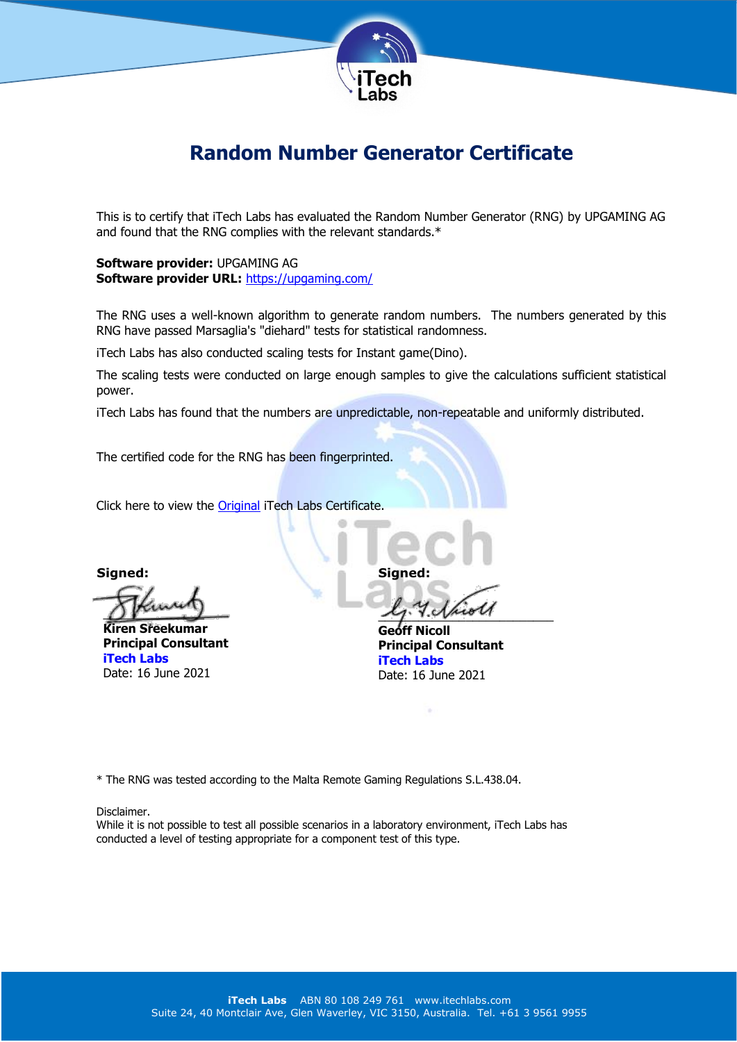

## **Random Number Generator Certificate**

This is to certify that iTech Labs has evaluated the Random Number Generator (RNG) by UPGAMING AG and found that the RNG complies with the relevant standards.\*

**Software provider:** UPGAMING AG **Software provider URL:** <https://upgaming.com/>

The RNG uses a well-known algorithm to generate random numbers. The numbers generated by this RNG have passed Marsaglia's "diehard" tests for statistical randomness.

iTech Labs has also conducted scaling tests for Instant game(Dino).

The scaling tests were conducted on large enough samples to give the calculations sufficient statistical power.

iTech Labs has found that the numbers are unpredictable, non-repeatable and uniformly distributed.

The certified code for the RNG has been fingerprinted.

Click here to view the **[Original](http://www.itechlabs.com/certificates/UPGAMINGAG/RNG_Certificate_MT_UPGAMINGAG_16June2021.pdf)** iTech Labs Certificate.

**Signed:**

 $Q$   $\mu$ 

**Kiren Sreekumar Principal Consultant iTech Labs** Date: 16 June 2021

**Signed:**

 $x_j$ .  $y_i$ .  $y_i$ 

**Geoff Nicoll Principal Consultant iTech Labs** Date: 16 June 2021

\* The RNG was tested according to the Malta Remote Gaming Regulations S.L.438.04.

## Disclaimer.

While it is not possible to test all possible scenarios in a laboratory environment, iTech Labs has conducted a level of testing appropriate for a component test of this type.